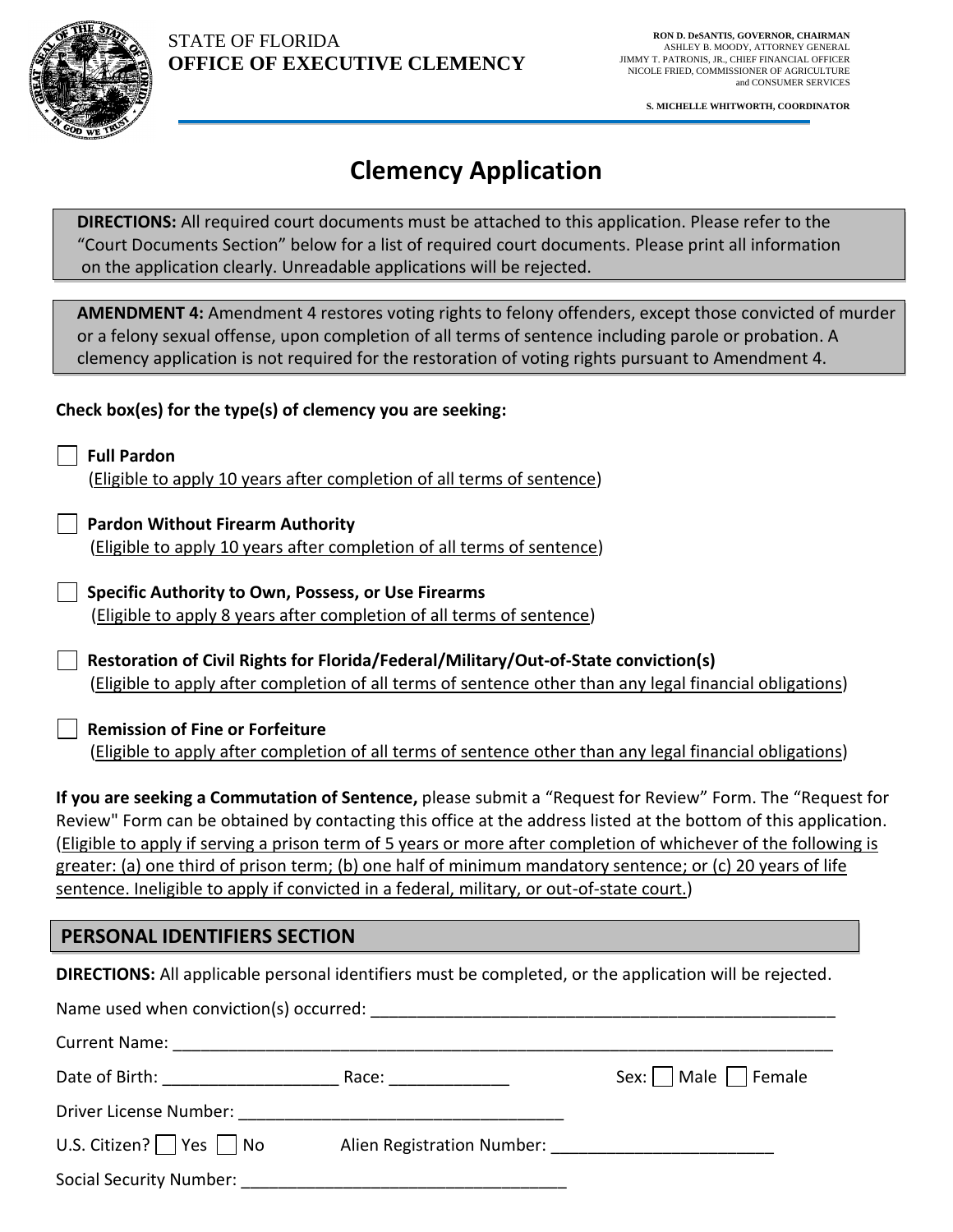

**S. MICHELLE WHITWORTH, COORDINATOR**

# **Clemency Application**

**DIRECTIONS:** All required court documents must be attached to this application. Please refer to the "Court Documents Section" below for a list of required court documents. Please print all information on the application clearly. Unreadable applications will be rejected.

**AMENDMENT 4:** Amendment 4 restores voting rights to felony offenders, except those convicted of murder or a felony sexual offense, upon completion of all terms of sentence including parole or probation. A clemency application is not required for the restoration of voting rights pursuant to Amendment 4.

#### **Check box(es) for the type(s) of clemency you are seeking:**

 **Full Pardon** (Eligible to apply 10 years after completion of all terms of sentence)

 **Pardon Without Firearm Authority** (Eligible to apply 10 years after completion of all terms of sentence)

 **Specific Authority to Own, Possess, or Use Firearms** (Eligible to apply 8 years after completion of all terms of sentence)

**Restoration of Civil Rights for Florida/Federal/Military/Out-of-State conviction(s)** (Eligible to apply after completion of all terms of sentence other than any legal financial obligations)

 **Remission of Fine or Forfeiture** (Eligible to apply after completion of all terms of sentence other than any legal financial obligations)

**If you are seeking a Commutation of Sentence,** please submit a "Request for Review" Form. The "Request for Review" Form can be obtained by contacting this office at the address listed at the bottom of this application. (Eligible to apply if serving a prison term of 5 years or more after completion of whichever of the following is greater: (a) one third of prison term; (b) one half of minimum mandatory sentence; or (c) 20 years of life sentence. Ineligible to apply if convicted in a federal, military, or out-of-state court.)

### **PERSONAL IDENTIFIERS SECTION**

**DIRECTIONS:** All applicable personal identifiers must be completed, or the application will be rejected.

|                                        | Name used when conviction(s) occurred: Name of the state of the state of the state of the state of the state o |                          |
|----------------------------------------|----------------------------------------------------------------------------------------------------------------|--------------------------|
| <b>Current Name:</b> The Current Name: |                                                                                                                |                          |
| Date of Birth: The Case of Birth:      | Race: and the state of the state of the state of the state of the state of the state of the state of the state | Sex:     Male     Female |
| Driver License Number:                 |                                                                                                                |                          |
| U.S. Citizen? $\Box$ Yes $\Box$ No     | Alien Registration Number: National Alien Registration Number:                                                 |                          |
| Social Security Number:                |                                                                                                                |                          |